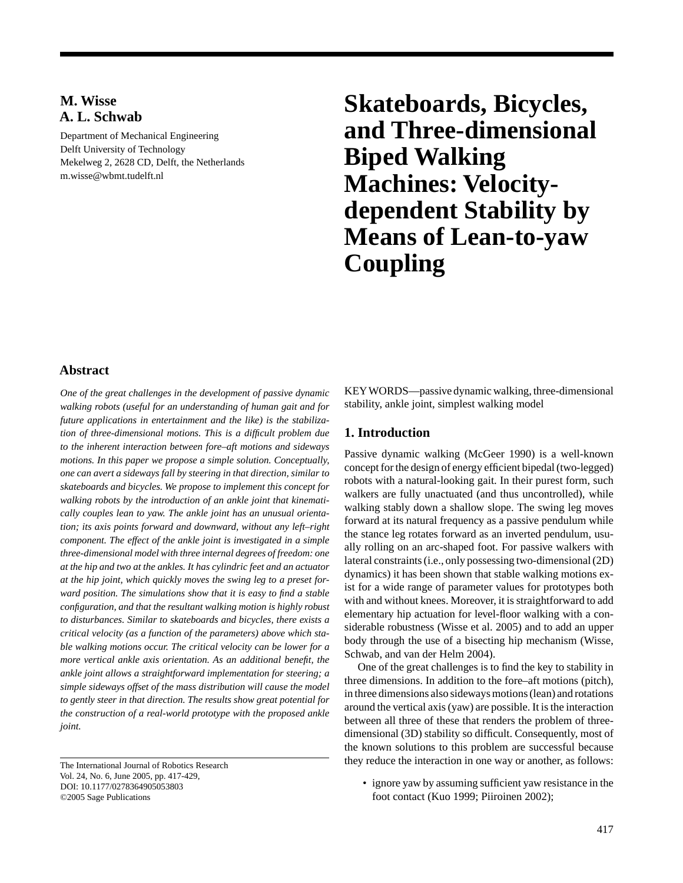# **M. Wisse A. L. Schwab**

Department of Mechanical Engineering Delft University of Technology Mekelweg 2, 2628 CD, Delft, the Netherlands m.wisse@wbmt.tudelft.nl

**Skateboards, Bicycles, and Three-dimensional Biped Walking Machines: Velocitydependent Stability by Means of Lean-to-yaw Coupling**

# **Abstract**

*One of the great challenges in the development of passive dynamic walking robots (useful for an understanding of human gait and for future applications in entertainment and the like) is the stabilization of three-dimensional motions. This is a difficult problem due to the inherent interaction between fore–aft motions and sideways motions. In this paper we propose a simple solution. Conceptually, one can avert a sideways fall by steering in that direction, similar to skateboards and bicycles. We propose to implement this concept for walking robots by the introduction of an ankle joint that kinematically couples lean to yaw. The ankle joint has an unusual orientation; its axis points forward and downward, without any left–right component. The effect of the ankle joint is investigated in a simple three-dimensional model with three internal degrees of freedom: one at the hip and two at the ankles. It has cylindric feet and an actuator at the hip joint, which quickly moves the swing leg to a preset forward position. The simulations show that it is easy to find a stable configuration, and that the resultant walking motion is highly robust to disturbances. Similar to skateboards and bicycles, there exists a critical velocity (as a function of the parameters) above which stable walking motions occur. The critical velocity can be lower for a more vertical ankle axis orientation. As an additional benefit, the ankle joint allows a straightforward implementation for steering; a simple sideways offset of the mass distribution will cause the model to gently steer in that direction. The results show great potential for the construction of a real-world prototype with the proposed ankle joint.*

KEYWORDS—passive dynamic walking, three-dimensional stability, ankle joint, simplest walking model

## **1. Introduction**

Passive dynamic walking (McGeer 1990) is a well-known concept for the design of energy efficient bipedal (two-legged) robots with a natural-looking gait. In their purest form, such walkers are fully unactuated (and thus uncontrolled), while walking stably down a shallow slope. The swing leg moves forward at its natural frequency as a passive pendulum while the stance leg rotates forward as an inverted pendulum, usually rolling on an arc-shaped foot. For passive walkers with lateral constraints (i.e., only possessing two-dimensional (2D) dynamics) it has been shown that stable walking motions exist for a wide range of parameter values for prototypes both with and without knees. Moreover, it is straightforward to add elementary hip actuation for level-floor walking with a considerable robustness (Wisse et al. 2005) and to add an upper body through the use of a bisecting hip mechanism (Wisse, Schwab, and van der Helm 2004).

One of the great challenges is to find the key to stability in three dimensions. In addition to the fore–aft motions (pitch), in three dimensions also sideways motions (lean) and rotations around the vertical axis (yaw) are possible. It is the interaction between all three of these that renders the problem of threedimensional (3D) stability so difficult. Consequently, most of the known solutions to this problem are successful because they reduce the interaction in one way or another, as follows:

• ignore yaw by assuming sufficient yaw resistance in the foot contact (Kuo 1999; Piiroinen 2002);

The International Journal of Robotics Research Vol. 24, No. 6, June 2005, pp. 417-429, DOI: 10.1177/0278364905053803 ©2005 Sage Publications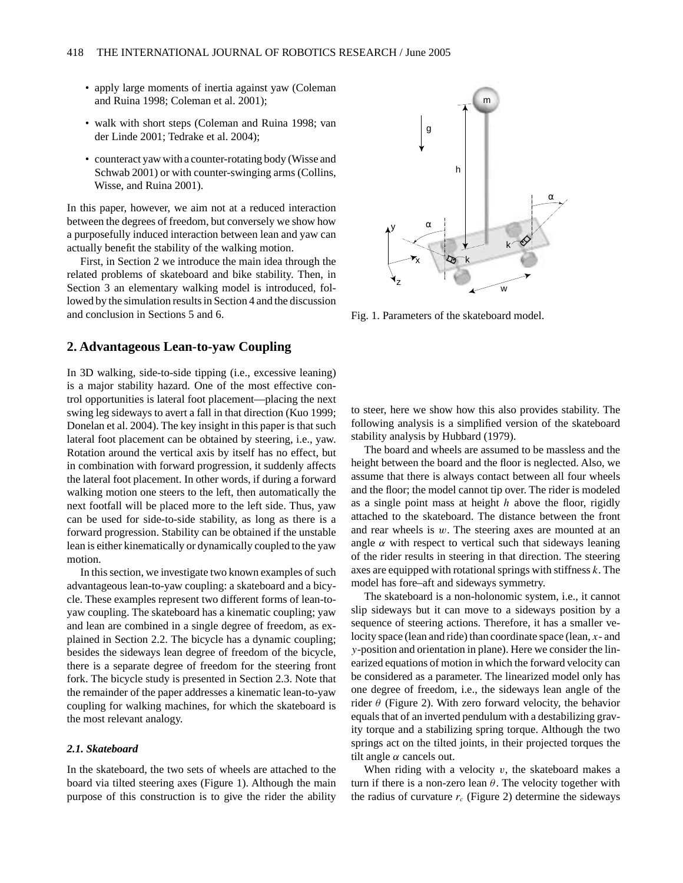- apply large moments of inertia against yaw (Coleman and Ruina 1998; Coleman et al. 2001);
- walk with short steps (Coleman and Ruina 1998; van der Linde 2001; Tedrake et al. 2004);
- counteract yaw with a counter-rotating body (Wisse and Schwab 2001) or with counter-swinging arms (Collins, Wisse, and Ruina 2001).

In this paper, however, we aim not at a reduced interaction between the degrees of freedom, but conversely we show how a purposefully induced interaction between lean and yaw can actually benefit the stability of the walking motion.

First, in Section 2 we introduce the main idea through the related problems of skateboard and bike stability. Then, in Section 3 an elementary walking model is introduced, followed by the simulation results in Section 4 and the discussion and conclusion in Sections 5 and 6.

### **2. Advantageous Lean-to-yaw Coupling**

In 3D walking, side-to-side tipping (i.e., excessive leaning) is a major stability hazard. One of the most effective control opportunities is lateral foot placement—placing the next swing leg sideways to avert a fall in that direction (Kuo 1999; Donelan et al. 2004). The key insight in this paper is that such lateral foot placement can be obtained by steering, i.e., yaw. Rotation around the vertical axis by itself has no effect, but in combination with forward progression, it suddenly affects the lateral foot placement. In other words, if during a forward walking motion one steers to the left, then automatically the next footfall will be placed more to the left side. Thus, yaw can be used for side-to-side stability, as long as there is a forward progression. Stability can be obtained if the unstable lean is either kinematically or dynamically coupled to the yaw motion.

In this section, we investigate two known examples of such advantageous lean-to-yaw coupling: a skateboard and a bicycle. These examples represent two different forms of lean-toyaw coupling. The skateboard has a kinematic coupling; yaw and lean are combined in a single degree of freedom, as explained in Section 2.2. The bicycle has a dynamic coupling; besides the sideways lean degree of freedom of the bicycle, there is a separate degree of freedom for the steering front fork. The bicycle study is presented in Section 2.3. Note that the remainder of the paper addresses a kinematic lean-to-yaw coupling for walking machines, for which the skateboard is the most relevant analogy.

### *2.1. Skateboard*

In the skateboard, the two sets of wheels are attached to the board via tilted steering axes (Figure 1). Although the main purpose of this construction is to give the rider the ability



Fig. 1. Parameters of the skateboard model.

to steer, here we show how this also provides stability. The following analysis is a simplified version of the skateboard stability analysis by Hubbard (1979).

The board and wheels are assumed to be massless and the height between the board and the floor is neglected. Also, we assume that there is always contact between all four wheels and the floor; the model cannot tip over. The rider is modeled as a single point mass at height *h* above the floor, rigidly attached to the skateboard. The distance between the front and rear wheels is *w*. The steering axes are mounted at an angle  $\alpha$  with respect to vertical such that sideways leaning of the rider results in steering in that direction. The steering axes are equipped with rotational springs with stiffness *k*. The model has fore–aft and sideways symmetry.

The skateboard is a non-holonomic system, i.e., it cannot slip sideways but it can move to a sideways position by a sequence of steering actions. Therefore, it has a smaller velocity space (lean and ride) than coordinate space (lean, *x*- and *y*-position and orientation in plane). Here we consider the linearized equations of motion in which the forward velocity can be considered as a parameter. The linearized model only has one degree of freedom, i.e., the sideways lean angle of the rider  $\theta$  (Figure 2). With zero forward velocity, the behavior equals that of an inverted pendulum with a destabilizing gravity torque and a stabilizing spring torque. Although the two springs act on the tilted joints, in their projected torques the tilt angle *α* cancels out.

When riding with a velocity *v*, the skateboard makes a turn if there is a non-zero lean *θ*. The velocity together with the radius of curvature  $r_c$  (Figure 2) determine the sideways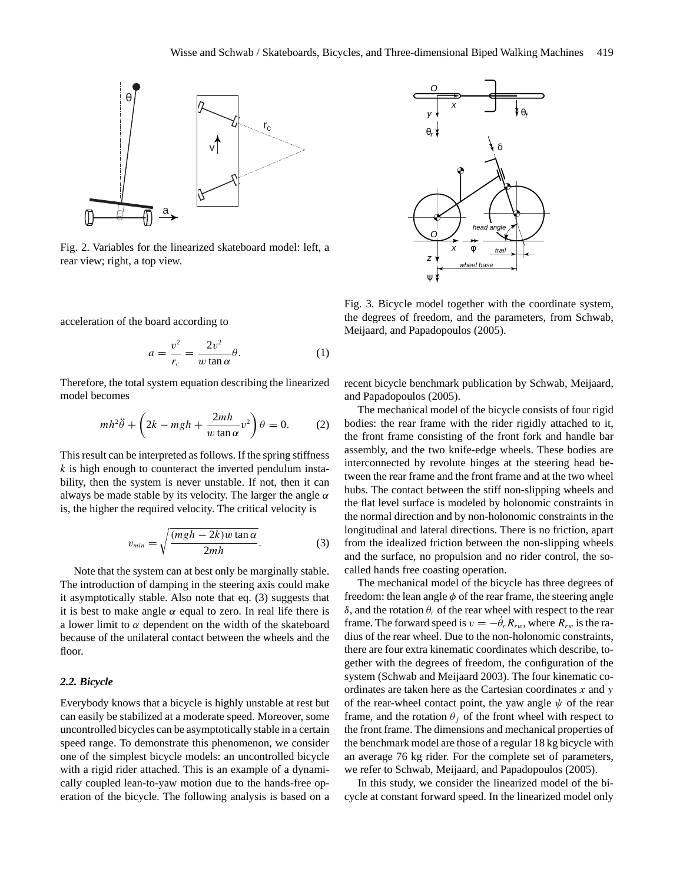

Fig. 2. Variables for the linearized skateboard model: left, a rear view; right, a top view.

acceleration of the board according to

$$
a = \frac{v^2}{r_c} = \frac{2v^2}{w \tan \alpha} \theta.
$$
 (1)

Therefore, the total system equation describing the linearized model becomes

$$
mh^2\ddot{\theta} + \left(2k - mgh + \frac{2mh}{w\tan\alpha}v^2\right)\theta = 0.
$$
 (2)

This result can be interpreted as follows. If the spring stiffness *k* is high enough to counteract the inverted pendulum instability, then the system is never unstable. If not, then it can always be made stable by its velocity. The larger the angle *α* is, the higher the required velocity. The critical velocity is

$$
v_{min} = \sqrt{\frac{(mgh - 2k)w \tan \alpha}{2mh}}.
$$
 (3)

Note that the system can at best only be marginally stable. The introduction of damping in the steering axis could make it asymptotically stable. Also note that eq. (3) suggests that it is best to make angle  $\alpha$  equal to zero. In real life there is a lower limit to *α* dependent on the width of the skateboard because of the unilateral contact between the wheels and the floor.

#### *2.2. Bicycle*

Everybody knows that a bicycle is highly unstable at rest but can easily be stabilized at a moderate speed. Moreover, some uncontrolled bicycles can be asymptotically stable in a certain speed range. To demonstrate this phenomenon, we consider one of the simplest bicycle models: an uncontrolled bicycle with a rigid rider attached. This is an example of a dynamically coupled lean-to-yaw motion due to the hands-free operation of the bicycle. The following analysis is based on a



Fig. 3. Bicycle model together with the coordinate system, the degrees of freedom, and the parameters, from Schwab, Meijaard, and Papadopoulos (2005).

recent bicycle benchmark publication by Schwab, Meijaard, and Papadopoulos (2005).

The mechanical model of the bicycle consists of four rigid bodies: the rear frame with the rider rigidly attached to it, the front frame consisting of the front fork and handle bar assembly, and the two knife-edge wheels. These bodies are interconnected by revolute hinges at the steering head between the rear frame and the front frame and at the two wheel hubs. The contact between the stiff non-slipping wheels and the flat level surface is modeled by holonomic constraints in the normal direction and by non-holonomic constraints in the longitudinal and lateral directions. There is no friction, apart from the idealized friction between the non-slipping wheels and the surface, no propulsion and no rider control, the socalled hands free coasting operation.

The mechanical model of the bicycle has three degrees of freedom: the lean angle  $\phi$  of the rear frame, the steering angle  $\delta$ , and the rotation  $\theta_r$  of the rear wheel with respect to the rear frame. The forward speed is  $v = -\dot{\theta}_r R_{rw}$ , where  $R_{rw}$  is the radius of the rear wheel. Due to the non-holonomic constraints, there are four extra kinematic coordinates which describe, together with the degrees of freedom, the configuration of the system (Schwab and Meijaard 2003). The four kinematic coordinates are taken here as the Cartesian coordinates *x* and *y* of the rear-wheel contact point, the yaw angle  $\psi$  of the rear frame, and the rotation  $\theta_f$  of the front wheel with respect to the front frame. The dimensions and mechanical properties of the benchmark model are those of a regular 18 kg bicycle with an average 76 kg rider. For the complete set of parameters, we refer to Schwab, Meijaard, and Papadopoulos (2005).

In this study, we consider the linearized model of the bicycle at constant forward speed. In the linearized model only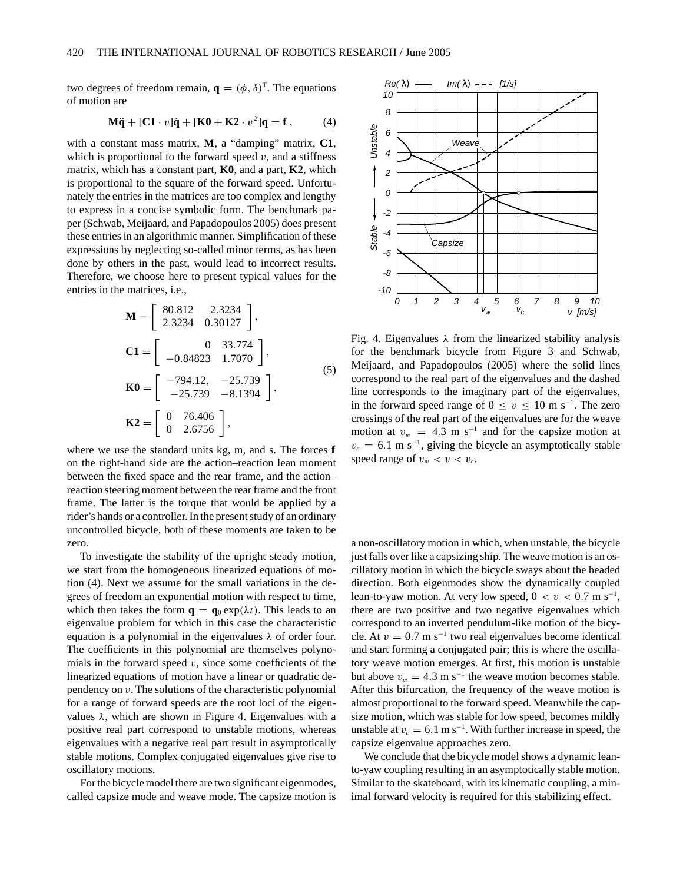two degrees of freedom remain,  $\mathbf{q} = (\phi, \delta)^T$ . The equations of motion are

$$
\mathbf{M}\ddot{\mathbf{q}} + [\mathbf{C1} \cdot v]\dot{\mathbf{q}} + [\mathbf{K0} + \mathbf{K2} \cdot v^2]\mathbf{q} = \mathbf{f}, \quad (4)
$$

with a constant mass matrix, **M**, a "damping" matrix, **C1**, which is proportional to the forward speed  $v$ , and a stiffness matrix, which has a constant part, **K0**, and a part, **K2**, which is proportional to the square of the forward speed. Unfortunately the entries in the matrices are too complex and lengthy to express in a concise symbolic form. The benchmark paper (Schwab, Meijaard, and Papadopoulos 2005) does present these entries in an algorithmic manner. Simplification of these expressions by neglecting so-called minor terms, as has been done by others in the past, would lead to incorrect results. Therefore, we choose here to present typical values for the entries in the matrices, i.e.,

$$
\mathbf{M} = \begin{bmatrix} 80.812 & 2.3234 \\ 2.3234 & 0.30127 \end{bmatrix},
$$
  
\n
$$
\mathbf{C1} = \begin{bmatrix} 0 & 33.774 \\ -0.84823 & 1.7070 \end{bmatrix},
$$
  
\n
$$
\mathbf{K0} = \begin{bmatrix} -794.12, & -25.739 \\ -25.739 & -8.1394 \end{bmatrix},
$$
  
\n
$$
\mathbf{K2} = \begin{bmatrix} 0 & 76.406 \\ 0 & 2.6756 \end{bmatrix},
$$
 (5)

where we use the standard units kg, m, and s. The forces **f** on the right-hand side are the action–reaction lean moment between the fixed space and the rear frame, and the action– reaction steering moment between the rear frame and the front frame. The latter is the torque that would be applied by a rider's hands or a controller. In the present study of an ordinary uncontrolled bicycle, both of these moments are taken to be zero.

To investigate the stability of the upright steady motion, we start from the homogeneous linearized equations of motion (4). Next we assume for the small variations in the degrees of freedom an exponential motion with respect to time, which then takes the form  $\mathbf{q} = \mathbf{q}_0 \exp(\lambda t)$ . This leads to an eigenvalue problem for which in this case the characteristic equation is a polynomial in the eigenvalues *λ* of order four. The coefficients in this polynomial are themselves polynomials in the forward speed  $v$ , since some coefficients of the linearized equations of motion have a linear or quadratic dependency on *v*. The solutions of the characteristic polynomial for a range of forward speeds are the root loci of the eigenvalues *λ*, which are shown in Figure 4. Eigenvalues with a positive real part correspond to unstable motions, whereas eigenvalues with a negative real part result in asymptotically stable motions. Complex conjugated eigenvalues give rise to oscillatory motions.

For the bicycle model there are two significant eigenmodes, called capsize mode and weave mode. The capsize motion is



Fig. 4. Eigenvalues *λ* from the linearized stability analysis for the benchmark bicycle from Figure 3 and Schwab, Meijaard, and Papadopoulos (2005) where the solid lines correspond to the real part of the eigenvalues and the dashed line corresponds to the imaginary part of the eigenvalues, in the forward speed range of  $0 \le v \le 10$  m s<sup>-1</sup>. The zero crossings of the real part of the eigenvalues are for the weave motion at  $v_w = 4.3$  m s<sup>-1</sup> and for the capsize motion at  $v_c = 6.1 \text{ m s}^{-1}$ , giving the bicycle an asymptotically stable speed range of  $v_w < v < v_c$ .

a non-oscillatory motion in which, when unstable, the bicycle just falls over like a capsizing ship. The weave motion is an oscillatory motion in which the bicycle sways about the headed direction. Both eigenmodes show the dynamically coupled lean-to-yaw motion. At very low speed,  $0 < v < 0.7$  m s<sup>-1</sup>, there are two positive and two negative eigenvalues which correspond to an inverted pendulum-like motion of the bicycle. At  $v = 0.7$  m s<sup>-1</sup> two real eigenvalues become identical and start forming a conjugated pair; this is where the oscillatory weave motion emerges. At first, this motion is unstable but above  $v_w = 4.3 \text{ m s}^{-1}$  the weave motion becomes stable. After this bifurcation, the frequency of the weave motion is almost proportional to the forward speed. Meanwhile the capsize motion, which was stable for low speed, becomes mildly unstable at  $v_c = 6.1 \text{ m s}^{-1}$ . With further increase in speed, the capsize eigenvalue approaches zero.

We conclude that the bicycle model shows a dynamic leanto-yaw coupling resulting in an asymptotically stable motion. Similar to the skateboard, with its kinematic coupling, a minimal forward velocity is required for this stabilizing effect.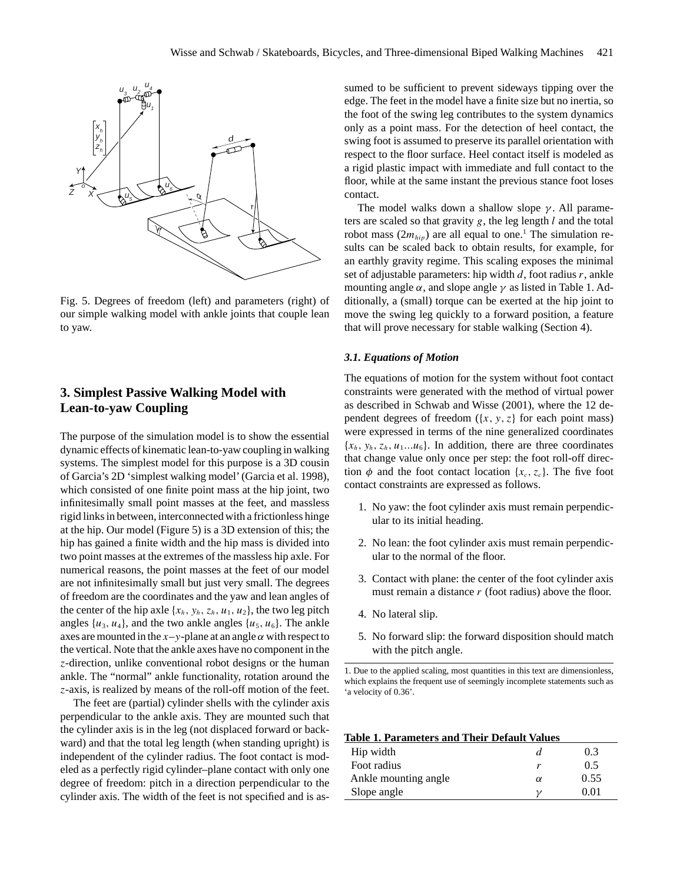

Fig. 5. Degrees of freedom (left) and parameters (right) of our simple walking model with ankle joints that couple lean to yaw.

# **3. Simplest Passive Walking Model with Lean-to-yaw Coupling**

The purpose of the simulation model is to show the essential dynamic effects of kinematic lean-to-yaw coupling in walking systems. The simplest model for this purpose is a 3D cousin of Garcia's 2D 'simplest walking model' (Garcia et al. 1998), which consisted of one finite point mass at the hip joint, two infinitesimally small point masses at the feet, and massless rigid links in between, interconnected with a frictionless hinge at the hip. Our model (Figure 5) is a 3D extension of this; the hip has gained a finite width and the hip mass is divided into two point masses at the extremes of the massless hip axle. For numerical reasons, the point masses at the feet of our model are not infinitesimally small but just very small. The degrees of freedom are the coordinates and the yaw and lean angles of the center of the hip axle  $\{x_h, y_h, z_h, u_1, u_2\}$ , the two leg pitch angles  $\{u_3, u_4\}$ , and the two ankle angles  $\{u_5, u_6\}$ . The ankle axes are mounted in the  $x-y$ -plane at an angle  $\alpha$  with respect to the vertical. Note that the ankle axes have no component in the *z*-direction, unlike conventional robot designs or the human ankle. The "normal" ankle functionality, rotation around the *z*-axis, is realized by means of the roll-off motion of the feet.

The feet are (partial) cylinder shells with the cylinder axis perpendicular to the ankle axis. They are mounted such that the cylinder axis is in the leg (not displaced forward or backward) and that the total leg length (when standing upright) is independent of the cylinder radius. The foot contact is modeled as a perfectly rigid cylinder–plane contact with only one degree of freedom: pitch in a direction perpendicular to the cylinder axis. The width of the feet is not specified and is assumed to be sufficient to prevent sideways tipping over the edge. The feet in the model have a finite size but no inertia, so the foot of the swing leg contributes to the system dynamics only as a point mass. For the detection of heel contact, the swing foot is assumed to preserve its parallel orientation with respect to the floor surface. Heel contact itself is modeled as a rigid plastic impact with immediate and full contact to the floor, while at the same instant the previous stance foot loses contact.

The model walks down a shallow slope *γ* . All parameters are scaled so that gravity *g*, the leg length *l* and the total robot mass  $(2m_{hip})$  are all equal to one.<sup>1</sup> The simulation results can be scaled back to obtain results, for example, for an earthly gravity regime. This scaling exposes the minimal set of adjustable parameters: hip width *d*, foot radius *r*, ankle mounting angle  $\alpha$ , and slope angle  $\gamma$  as listed in Table 1. Additionally, a (small) torque can be exerted at the hip joint to move the swing leg quickly to a forward position, a feature that will prove necessary for stable walking (Section 4).

#### *3.1. Equations of Motion*

The equations of motion for the system without foot contact constraints were generated with the method of virtual power as described in Schwab and Wisse (2001), where the 12 dependent degrees of freedom  $({x, y, z}$  for each point mass) were expressed in terms of the nine generalized coordinates  ${x_h, y_h, z_h, u_1...u_6}$ . In addition, there are three coordinates that change value only once per step: the foot roll-off direction  $\phi$  and the foot contact location  $\{x_c, z_c\}$ . The five foot contact constraints are expressed as follows.

- 1. No yaw: the foot cylinder axis must remain perpendicular to its initial heading.
- 2. No lean: the foot cylinder axis must remain perpendicular to the normal of the floor.
- 3. Contact with plane: the center of the foot cylinder axis must remain a distance *r* (foot radius) above the floor.
- 4. No lateral slip.
- 5. No forward slip: the forward disposition should match with the pitch angle.

<sup>1.</sup> Due to the applied scaling, most quantities in this text are dimensionless, which explains the frequent use of seemingly incomplete statements such as 'a velocity of 0.36'.

| <b>Table 1. Parameters and Their Default Values</b> |          |      |  |
|-----------------------------------------------------|----------|------|--|
| Hip width                                           | d.       | 0.3  |  |
| Foot radius                                         | r        | 0.5  |  |
| Ankle mounting angle                                | $\alpha$ | 0.55 |  |
| Slope angle                                         | ν        | 0.01 |  |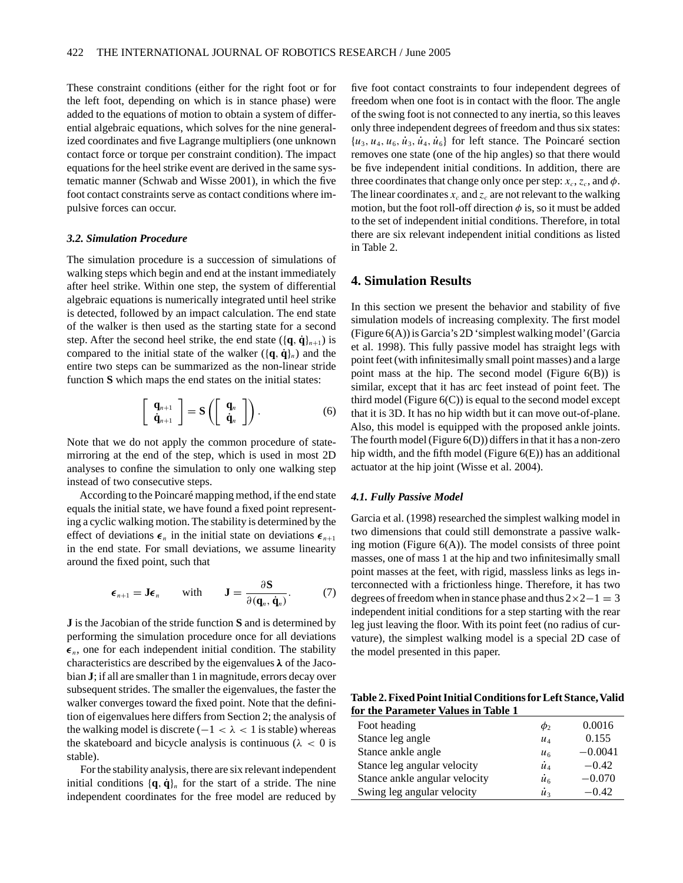These constraint conditions (either for the right foot or for the left foot, depending on which is in stance phase) were added to the equations of motion to obtain a system of differential algebraic equations, which solves for the nine generalized coordinates and five Lagrange multipliers (one unknown contact force or torque per constraint condition). The impact equations for the heel strike event are derived in the same systematic manner (Schwab and Wisse 2001), in which the five foot contact constraints serve as contact conditions where impulsive forces can occur.

### *3.2. Simulation Procedure*

The simulation procedure is a succession of simulations of walking steps which begin and end at the instant immediately after heel strike. Within one step, the system of differential algebraic equations is numerically integrated until heel strike is detected, followed by an impact calculation. The end state of the walker is then used as the starting state for a second step. After the second heel strike, the end state  $({\bf q}, {\dot{\bf q}})_{n+1}$  is compared to the initial state of the walker  $({\bf q}, {\bf \dot{q}})_n$  and the entire two steps can be summarized as the non-linear stride function S which maps the end states on the initial states:

$$
\left[\begin{array}{c}\mathbf{q}_{n+1}\\\dot{\mathbf{q}}_{n+1}\end{array}\right]=\mathbf{S}\left(\left[\begin{array}{c}\mathbf{q}_{n}\\\dot{\mathbf{q}}_{n}\end{array}\right]\right).
$$
 (6)

Note that we do not apply the common procedure of statemirroring at the end of the step, which is used in most 2D analyses to confine the simulation to only one walking step instead of two consecutive steps.

According to the Poincaré mapping method, if the end state equals the initial state, we have found a fixed point representing a cyclic walking motion. The stability is determined by the effect of deviations  $\epsilon_n$  in the initial state on deviations  $\epsilon_{n+1}$ in the end state. For small deviations, we assume linearity around the fixed point, such that

$$
\boldsymbol{\epsilon}_{n+1} = \mathbf{J} \boldsymbol{\epsilon}_n \qquad \text{with} \qquad \mathbf{J} = \frac{\partial \mathbf{S}}{\partial (\mathbf{q}_n, \dot{\mathbf{q}}_n)}.
$$
 (7)

**J** is the Jacobian of the stride function **S** and is determined by performing the simulation procedure once for all deviations  $\epsilon_n$ , one for each independent initial condition. The stability characteristics are described by the eigenvalues *λ* of the Jacobian **J**; if all are smaller than 1 in magnitude, errors decay over subsequent strides. The smaller the eigenvalues, the faster the walker converges toward the fixed point. Note that the definition of eigenvalues here differs from Section 2; the analysis of the walking model is discrete  $(-1 < \lambda < 1$  is stable) whereas the skateboard and bicycle analysis is continuous ( $\lambda < 0$  is stable).

For the stability analysis, there are six relevant independent initial conditions  $\{\mathbf{q}, \dot{\mathbf{q}}\}$  for the start of a stride. The nine independent coordinates for the free model are reduced by five foot contact constraints to four independent degrees of freedom when one foot is in contact with the floor. The angle of the swing foot is not connected to any inertia, so this leaves only three independent degrees of freedom and thus six states:  ${u_3, u_4, u_6, \dot{u}_3, \dot{u}_4, \dot{u}_6}$  for left stance. The Poincaré section removes one state (one of the hip angles) so that there would be five independent initial conditions. In addition, there are three coordinates that change only once per step:  $x_c$ ,  $z_c$ , and  $\phi$ . The linear coordinates  $x_c$  and  $z_c$  are not relevant to the walking motion, but the foot roll-off direction  $\phi$  is, so it must be added to the set of independent initial conditions. Therefore, in total there are six relevant independent initial conditions as listed in Table 2.

### **4. Simulation Results**

In this section we present the behavior and stability of five simulation models of increasing complexity. The first model (Figure 6(A)) is Garcia's 2D 'simplest walking model'(Garcia et al. 1998). This fully passive model has straight legs with point feet (with infinitesimally small point masses) and a large point mass at the hip. The second model (Figure 6(B)) is similar, except that it has arc feet instead of point feet. The third model (Figure  $6(C)$ ) is equal to the second model except that it is 3D. It has no hip width but it can move out-of-plane. Also, this model is equipped with the proposed ankle joints. The fourth model (Figure 6(D)) differs in that it has a non-zero hip width, and the fifth model (Figure 6(E)) has an additional actuator at the hip joint (Wisse et al. 2004).

### *4.1. Fully Passive Model*

Garcia et al. (1998) researched the simplest walking model in two dimensions that could still demonstrate a passive walking motion (Figure  $6(A)$ ). The model consists of three point masses, one of mass 1 at the hip and two infinitesimally small point masses at the feet, with rigid, massless links as legs interconnected with a frictionless hinge. Therefore, it has two degrees of freedom when in stance phase and thus  $2 \times 2 - 1 = 3$ independent initial conditions for a step starting with the rear leg just leaving the floor. With its point feet (no radius of curvature), the simplest walking model is a special 2D case of the model presented in this paper.

| Table 2. Fixed Point Initial Conditions for Left Stance, Valid |  |
|----------------------------------------------------------------|--|
| for the Parameter Values in Table 1                            |  |

| Foot heading                  | $\phi_2$     | 0.0016    |
|-------------------------------|--------------|-----------|
| Stance leg angle              | $u_4$        | 0.155     |
| Stance ankle angle            | $u_{\rm{6}}$ | $-0.0041$ |
| Stance leg angular velocity   | $\mu_4$      | $-0.42$   |
| Stance ankle angular velocity | $u_{\kappa}$ | $-0.070$  |
| Swing leg angular velocity    | $u_3$        | $-0.42$   |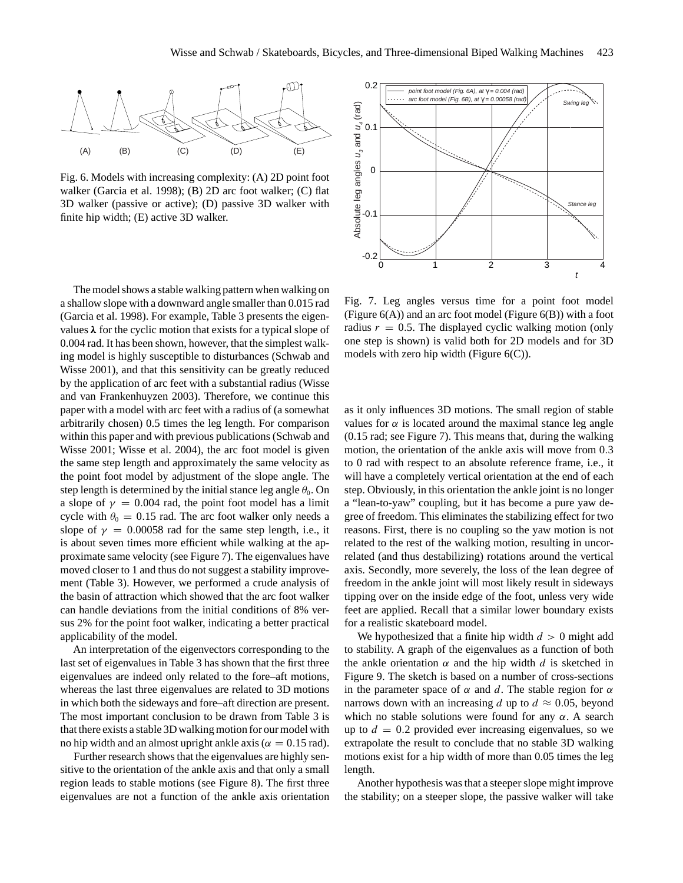

Fig. 6. Models with increasing complexity: (A) 2D point foot walker (Garcia et al. 1998); (B) 2D arc foot walker; (C) flat 3D walker (passive or active); (D) passive 3D walker with finite hip width; (E) active 3D walker.

The model shows a stable walking pattern when walking on a shallow slope with a downward angle smaller than 0.015 rad (Garcia et al. 1998). For example, Table 3 presents the eigenvalues *λ* for the cyclic motion that exists for a typical slope of 0.004 rad. It has been shown, however, that the simplest walking model is highly susceptible to disturbances (Schwab and Wisse 2001), and that this sensitivity can be greatly reduced by the application of arc feet with a substantial radius (Wisse and van Frankenhuyzen 2003). Therefore, we continue this paper with a model with arc feet with a radius of (a somewhat arbitrarily chosen) 0.5 times the leg length. For comparison within this paper and with previous publications (Schwab and Wisse 2001; Wisse et al. 2004), the arc foot model is given the same step length and approximately the same velocity as the point foot model by adjustment of the slope angle. The step length is determined by the initial stance leg angle  $\theta_0$ . On a slope of  $\gamma = 0.004$  rad, the point foot model has a limit cycle with  $\theta_0 = 0.15$  rad. The arc foot walker only needs a slope of  $\gamma = 0.00058$  rad for the same step length, i.e., it is about seven times more efficient while walking at the approximate same velocity (see Figure 7). The eigenvalues have moved closer to 1 and thus do not suggest a stability improvement (Table 3). However, we performed a crude analysis of the basin of attraction which showed that the arc foot walker can handle deviations from the initial conditions of 8% versus 2% for the point foot walker, indicating a better practical applicability of the model.

An interpretation of the eigenvectors corresponding to the last set of eigenvalues in Table 3 has shown that the first three eigenvalues are indeed only related to the fore–aft motions, whereas the last three eigenvalues are related to 3D motions in which both the sideways and fore–aft direction are present. The most important conclusion to be drawn from Table 3 is that there exists a stable 3D walking motion for our model with no hip width and an almost upright ankle axis ( $\alpha = 0.15$  rad).

Further research shows that the eigenvalues are highly sensitive to the orientation of the ankle axis and that only a small region leads to stable motions (see Figure 8). The first three eigenvalues are not a function of the ankle axis orientation



Fig. 7. Leg angles versus time for a point foot model (Figure  $6(A)$ ) and an arc foot model (Figure  $6(B)$ ) with a foot radius  $r = 0.5$ . The displayed cyclic walking motion (only one step is shown) is valid both for 2D models and for 3D models with zero hip width (Figure 6(C)).

as it only influences 3D motions. The small region of stable values for  $\alpha$  is located around the maximal stance leg angle (0.15 rad; see Figure 7). This means that, during the walking motion, the orientation of the ankle axis will move from 0*.*3 to 0 rad with respect to an absolute reference frame, i.e., it will have a completely vertical orientation at the end of each step. Obviously, in this orientation the ankle joint is no longer a "lean-to-yaw" coupling, but it has become a pure yaw degree of freedom. This eliminates the stabilizing effect for two reasons. First, there is no coupling so the yaw motion is not related to the rest of the walking motion, resulting in uncorrelated (and thus destabilizing) rotations around the vertical axis. Secondly, more severely, the loss of the lean degree of freedom in the ankle joint will most likely result in sideways tipping over on the inside edge of the foot, unless very wide feet are applied. Recall that a similar lower boundary exists for a realistic skateboard model.

We hypothesized that a finite hip width  $d > 0$  might add to stability. A graph of the eigenvalues as a function of both the ankle orientation  $\alpha$  and the hip width  $d$  is sketched in Figure 9. The sketch is based on a number of cross-sections in the parameter space of *α* and *d*. The stable region for *α* narrows down with an increasing *d* up to  $d \approx 0.05$ , beyond which no stable solutions were found for any *α*. A search up to  $d = 0.2$  provided ever increasing eigenvalues, so we extrapolate the result to conclude that no stable 3D walking motions exist for a hip width of more than 0.05 times the leg length.

Another hypothesis was that a steeper slope might improve the stability; on a steeper slope, the passive walker will take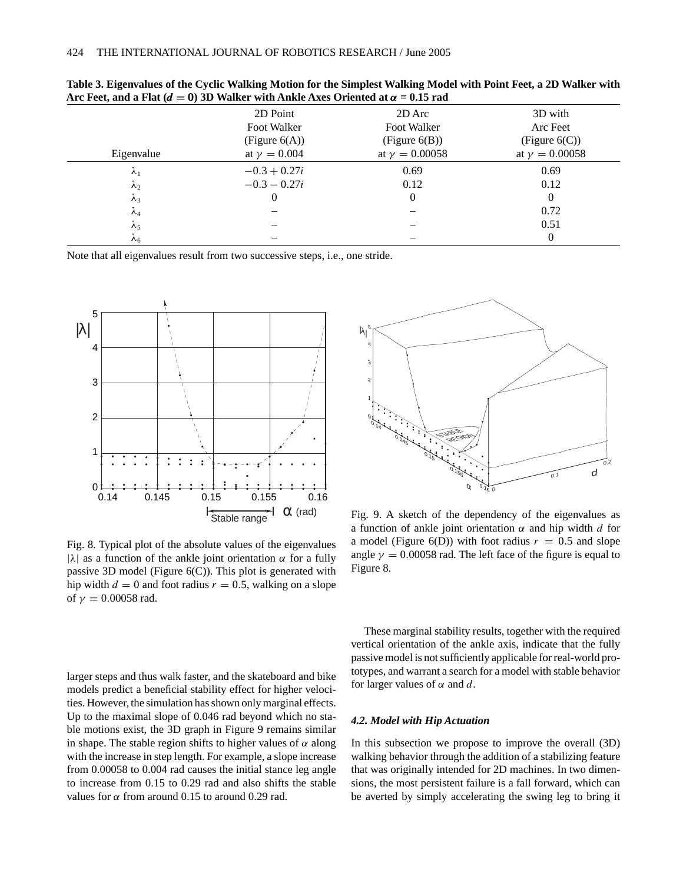| 2D Point            | 2D Arc                | 3D with          |
|---------------------|-----------------------|------------------|
| <b>Foot Walker</b>  | <b>Foot Walker</b>    | Arc Feet         |
| (Figure $6(A)$ )    | (Figure $6(B)$ )      | (Figure $6(C)$ ) |
| at $\gamma = 0.004$ | at $\gamma = 0.00058$ | at $y = 0.00058$ |
| $-0.3 + 0.27i$      | 0.69                  | 0.69             |
| $-0.3 - 0.27i$      | 0.12                  | 0.12             |
| 0                   | $\theta$              | 0                |
|                     |                       | 0.72             |
|                     |                       | 0.51             |
|                     |                       | 0                |
|                     |                       |                  |

**Table 3. Eigenvalues of the Cyclic Walking Motion for the Simplest Walking Model with Point Feet, a 2D Walker with Arc Feet, and a Flat (***d* = 0**) 3D Walker with Ankle Axes Oriented at** *α* **= 0.15 rad**

Note that all eigenvalues result from two successive steps, i.e., one stride.



Fig. 8. Typical plot of the absolute values of the eigenvalues |*λ*| as a function of the ankle joint orientation *α* for a fully passive 3D model (Figure 6(C)). This plot is generated with hip width  $d = 0$  and foot radius  $r = 0.5$ , walking on a slope of  $\gamma = 0.00058$  rad.

larger steps and thus walk faster, and the skateboard and bike models predict a beneficial stability effect for higher velocities. However, the simulation has shown only marginal effects. Up to the maximal slope of 0.046 rad beyond which no stable motions exist, the 3D graph in Figure 9 remains similar in shape. The stable region shifts to higher values of *α* along with the increase in step length. For example, a slope increase from 0.00058 to 0.004 rad causes the initial stance leg angle to increase from 0.15 to 0.29 rad and also shifts the stable values for *α* from around 0.15 to around 0.29 rad.



Fig. 9. A sketch of the dependency of the eigenvalues as a function of ankle joint orientation *α* and hip width *d* for a model (Figure 6(D)) with foot radius  $r = 0.5$  and slope angle  $\gamma = 0.00058$  rad. The left face of the figure is equal to Figure 8.

These marginal stability results, together with the required vertical orientation of the ankle axis, indicate that the fully passive model is not sufficiently applicable for real-world prototypes, and warrant a search for a model with stable behavior for larger values of *α* and *d*.

### *4.2. Model with Hip Actuation*

In this subsection we propose to improve the overall (3D) walking behavior through the addition of a stabilizing feature that was originally intended for 2D machines. In two dimensions, the most persistent failure is a fall forward, which can be averted by simply accelerating the swing leg to bring it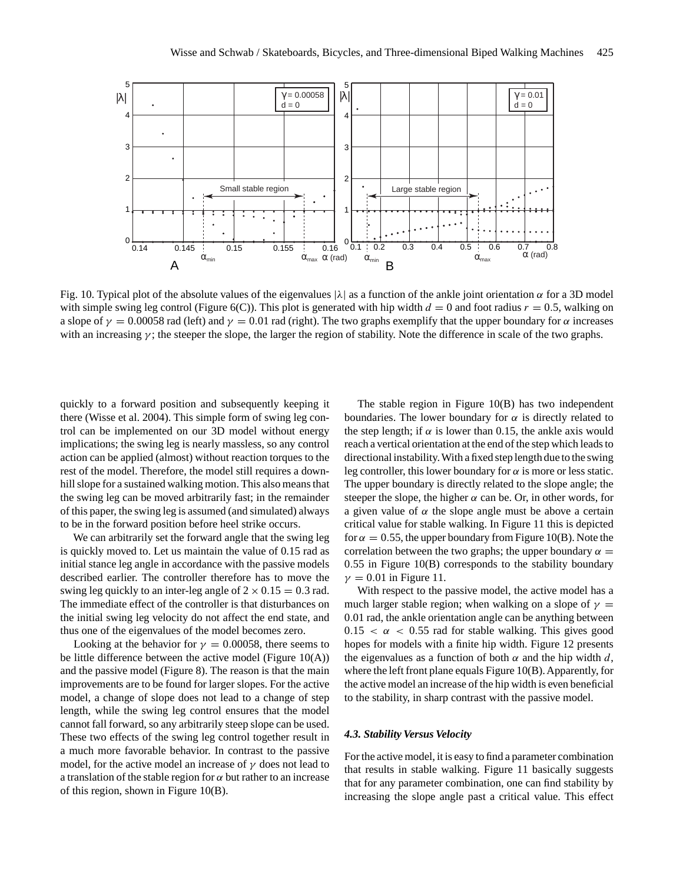

Fig. 10. Typical plot of the absolute values of the eigenvalues |*λ*| as a function of the ankle joint orientation *α* for a 3D model with simple swing leg control (Figure 6(C)). This plot is generated with hip width  $d = 0$  and foot radius  $r = 0.5$ , walking on a slope of  $\gamma = 0.00058$  rad (left) and  $\gamma = 0.01$  rad (right). The two graphs exemplify that the upper boundary for *α* increases with an increasing *γ* ; the steeper the slope, the larger the region of stability. Note the difference in scale of the two graphs.

quickly to a forward position and subsequently keeping it there (Wisse et al. 2004). This simple form of swing leg control can be implemented on our 3D model without energy implications; the swing leg is nearly massless, so any control action can be applied (almost) without reaction torques to the rest of the model. Therefore, the model still requires a downhill slope for a sustained walking motion. This also means that the swing leg can be moved arbitrarily fast; in the remainder of this paper, the swing leg is assumed (and simulated) always to be in the forward position before heel strike occurs.

We can arbitrarily set the forward angle that the swing leg is quickly moved to. Let us maintain the value of 0.15 rad as initial stance leg angle in accordance with the passive models described earlier. The controller therefore has to move the swing leg quickly to an inter-leg angle of  $2 \times 0.15 = 0.3$  rad. The immediate effect of the controller is that disturbances on the initial swing leg velocity do not affect the end state, and thus one of the eigenvalues of the model becomes zero.

Looking at the behavior for  $\gamma = 0.00058$ , there seems to be little difference between the active model (Figure 10(A)) and the passive model (Figure 8). The reason is that the main improvements are to be found for larger slopes. For the active model, a change of slope does not lead to a change of step length, while the swing leg control ensures that the model cannot fall forward, so any arbitrarily steep slope can be used. These two effects of the swing leg control together result in a much more favorable behavior. In contrast to the passive model, for the active model an increase of  $\gamma$  does not lead to a translation of the stable region for *α* but rather to an increase of this region, shown in Figure 10(B).

The stable region in Figure 10(B) has two independent boundaries. The lower boundary for  $\alpha$  is directly related to the step length; if  $\alpha$  is lower than 0.15, the ankle axis would reach a vertical orientation at the end of the step which leads to directional instability.With a fixed step length due to the swing leg controller, this lower boundary for  $\alpha$  is more or less static. The upper boundary is directly related to the slope angle; the steeper the slope, the higher  $\alpha$  can be. Or, in other words, for a given value of  $\alpha$  the slope angle must be above a certain critical value for stable walking. In Figure 11 this is depicted for  $\alpha = 0.55$ , the upper boundary from Figure 10(B). Note the correlation between the two graphs; the upper boundary  $\alpha$  = 0*.*55 in Figure 10(B) corresponds to the stability boundary  $\gamma = 0.01$  in Figure 11.

With respect to the passive model, the active model has a much larger stable region; when walking on a slope of  $\gamma =$ 0*.*01 rad, the ankle orientation angle can be anything between  $0.15 < \alpha < 0.55$  rad for stable walking. This gives good hopes for models with a finite hip width. Figure 12 presents the eigenvalues as a function of both  $\alpha$  and the hip width  $d$ , where the left front plane equals Figure  $10(B)$ . Apparently, for the active model an increase of the hip width is even beneficial to the stability, in sharp contrast with the passive model.

### *4.3. Stability Versus Velocity*

For the active model, it is easy to find a parameter combination that results in stable walking. Figure 11 basically suggests that for any parameter combination, one can find stability by increasing the slope angle past a critical value. This effect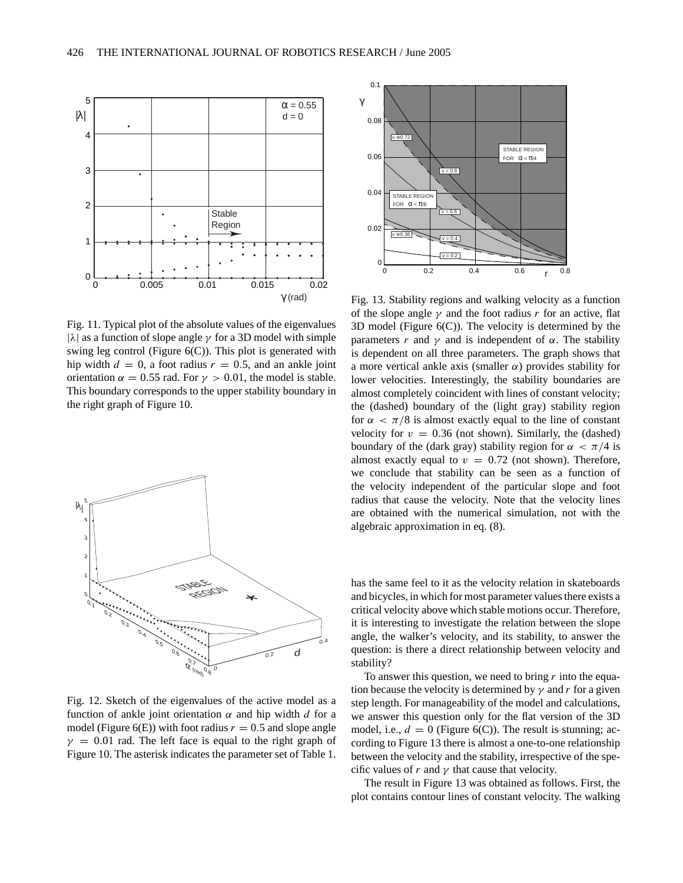

Fig. 11. Typical plot of the absolute values of the eigenvalues |*λ*| as a function of slope angle *γ* for a 3D model with simple swing leg control (Figure  $6(C)$ ). This plot is generated with hip width  $d = 0$ , a foot radius  $r = 0.5$ , and an ankle joint orientation  $\alpha = 0.55$  rad. For  $\gamma > 0.01$ , the model is stable. This boundary corresponds to the upper stability boundary in the right graph of Figure 10.



Fig. 12. Sketch of the eigenvalues of the active model as a function of ankle joint orientation  $\alpha$  and hip width *d* for a model (Figure 6(E)) with foot radius  $r = 0.5$  and slope angle  $\gamma = 0.01$  rad. The left face is equal to the right graph of Figure 10. The asterisk indicates the parameter set of Table 1.



Fig. 13. Stability regions and walking velocity as a function of the slope angle  $\gamma$  and the foot radius r for an active, flat 3D model (Figure 6(C)). The velocity is determined by the parameters *r* and  $\gamma$  and is independent of  $\alpha$ . The stability is dependent on all three parameters. The graph shows that a more vertical ankle axis (smaller  $\alpha$ ) provides stability for lower velocities. Interestingly, the stability boundaries are almost completely coincident with lines of constant velocity; the (dashed) boundary of the (light gray) stability region for  $\alpha < \pi/8$  is almost exactly equal to the line of constant velocity for  $v = 0.36$  (not shown). Similarly, the (dashed) boundary of the (dark gray) stability region for  $\alpha < \pi/4$  is almost exactly equal to  $v = 0.72$  (not shown). Therefore, we conclude that stability can be seen as a function of the velocity independent of the particular slope and foot radius that cause the velocity. Note that the velocity lines are obtained with the numerical simulation, not with the algebraic approximation in eq. (8).

has the same feel to it as the velocity relation in skateboards and bicycles, in which for most parameter values there exists a critical velocity above which stable motions occur. Therefore, it is interesting to investigate the relation between the slope angle, the walker's velocity, and its stability, to answer the question: is there a direct relationship between velocity and stability?

To answer this question, we need to bring *r* into the equation because the velocity is determined by  $\gamma$  and  $r$  for a given step length. For manageability of the model and calculations, we answer this question only for the flat version of the 3D model, i.e.,  $d = 0$  (Figure 6(C)). The result is stunning; according to Figure 13 there is almost a one-to-one relationship between the velocity and the stability, irrespective of the specific values of  $r$  and  $\gamma$  that cause that velocity.

The result in Figure 13 was obtained as follows. First, the plot contains contour lines of constant velocity. The walking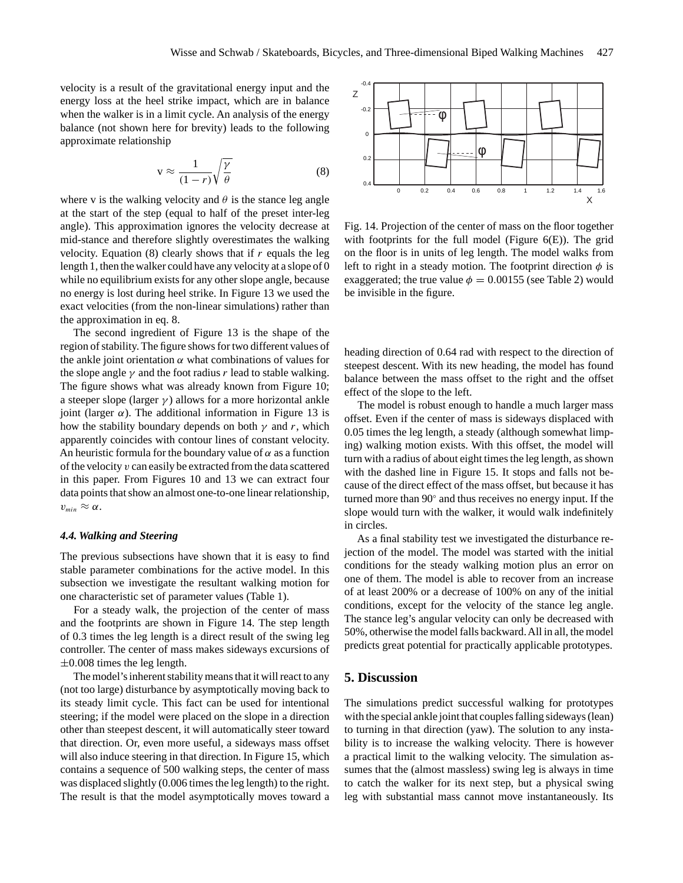velocity is a result of the gravitational energy input and the energy loss at the heel strike impact, which are in balance when the walker is in a limit cycle. An analysis of the energy balance (not shown here for brevity) leads to the following approximate relationship

$$
v \approx \frac{1}{(1-r)} \sqrt{\frac{\gamma}{\theta}}
$$
 (8)

where v is the walking velocity and  $\theta$  is the stance leg angle at the start of the step (equal to half of the preset inter-leg angle). This approximation ignores the velocity decrease at mid-stance and therefore slightly overestimates the walking velocity. Equation (8) clearly shows that if *r* equals the leg length 1, then the walker could have any velocity at a slope of 0 while no equilibrium exists for any other slope angle, because no energy is lost during heel strike. In Figure 13 we used the exact velocities (from the non-linear simulations) rather than the approximation in eq. 8.

The second ingredient of Figure 13 is the shape of the region of stability. The figure shows for two different values of the ankle joint orientation  $\alpha$  what combinations of values for the slope angle  $\gamma$  and the foot radius r lead to stable walking. The figure shows what was already known from Figure 10; a steeper slope (larger *γ* ) allows for a more horizontal ankle joint (larger *α*). The additional information in Figure 13 is how the stability boundary depends on both  $\gamma$  and r, which apparently coincides with contour lines of constant velocity. An heuristic formula for the boundary value of *α* as a function of the velocity *v* can easily be extracted from the data scattered in this paper. From Figures 10 and 13 we can extract four data points that show an almost one-to-one linear relationship,  $v_{min} \approx \alpha$ .

### *4.4. Walking and Steering*

The previous subsections have shown that it is easy to find stable parameter combinations for the active model. In this subsection we investigate the resultant walking motion for one characteristic set of parameter values (Table 1).

For a steady walk, the projection of the center of mass and the footprints are shown in Figure 14. The step length of 0.3 times the leg length is a direct result of the swing leg controller. The center of mass makes sideways excursions of ±0*.*008 times the leg length.

The model's inherent stability means that it will react to any (not too large) disturbance by asymptotically moving back to its steady limit cycle. This fact can be used for intentional steering; if the model were placed on the slope in a direction other than steepest descent, it will automatically steer toward that direction. Or, even more useful, a sideways mass offset will also induce steering in that direction. In Figure 15, which contains a sequence of 500 walking steps, the center of mass was displaced slightly (0.006 times the leg length) to the right. The result is that the model asymptotically moves toward a



Fig. 14. Projection of the center of mass on the floor together with footprints for the full model (Figure 6(E)). The grid on the floor is in units of leg length. The model walks from left to right in a steady motion. The footprint direction *φ* is exaggerated; the true value  $\phi = 0.00155$  (see Table 2) would be invisible in the figure.

heading direction of 0.64 rad with respect to the direction of steepest descent. With its new heading, the model has found balance between the mass offset to the right and the offset effect of the slope to the left.

The model is robust enough to handle a much larger mass offset. Even if the center of mass is sideways displaced with 0.05 times the leg length, a steady (although somewhat limping) walking motion exists. With this offset, the model will turn with a radius of about eight times the leg length, as shown with the dashed line in Figure 15. It stops and falls not because of the direct effect of the mass offset, but because it has turned more than 90◦ and thus receives no energy input. If the slope would turn with the walker, it would walk indefinitely in circles.

As a final stability test we investigated the disturbance rejection of the model. The model was started with the initial conditions for the steady walking motion plus an error on one of them. The model is able to recover from an increase of at least 200% or a decrease of 100% on any of the initial conditions, except for the velocity of the stance leg angle. The stance leg's angular velocity can only be decreased with 50%, otherwise the model falls backward.All in all, the model predicts great potential for practically applicable prototypes.

# **5. Discussion**

The simulations predict successful walking for prototypes with the special ankle joint that couples falling sideways (lean) to turning in that direction (yaw). The solution to any instability is to increase the walking velocity. There is however a practical limit to the walking velocity. The simulation assumes that the (almost massless) swing leg is always in time to catch the walker for its next step, but a physical swing leg with substantial mass cannot move instantaneously. Its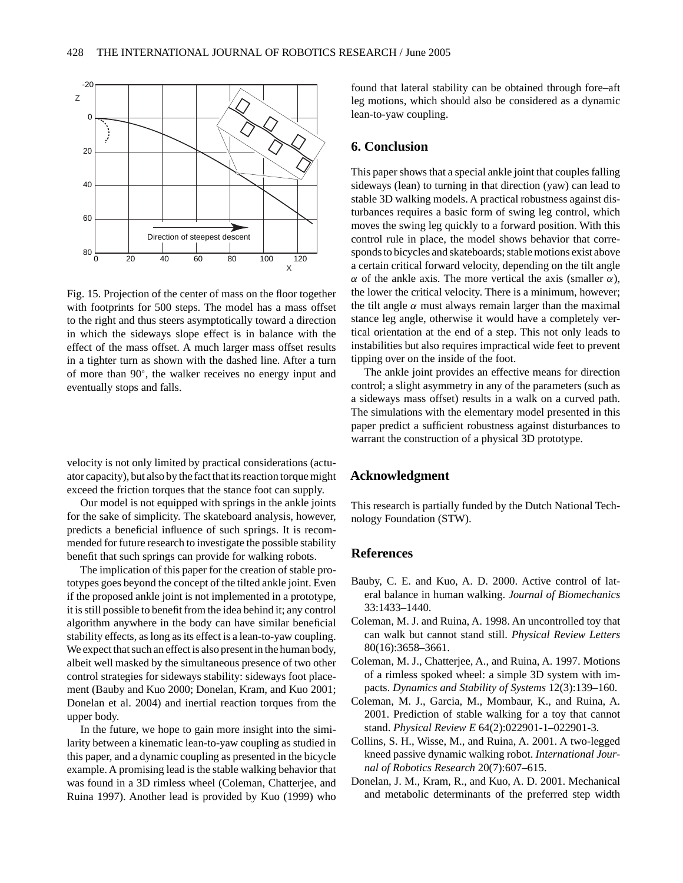

Fig. 15. Projection of the center of mass on the floor together with footprints for 500 steps. The model has a mass offset to the right and thus steers asymptotically toward a direction in which the sideways slope effect is in balance with the effect of the mass offset. A much larger mass offset results in a tighter turn as shown with the dashed line. After a turn of more than 90◦ , the walker receives no energy input and eventually stops and falls.

velocity is not only limited by practical considerations (actuator capacity), but also by the fact that its reaction torque might exceed the friction torques that the stance foot can supply.

Our model is not equipped with springs in the ankle joints for the sake of simplicity. The skateboard analysis, however, predicts a beneficial influence of such springs. It is recommended for future research to investigate the possible stability benefit that such springs can provide for walking robots.

The implication of this paper for the creation of stable prototypes goes beyond the concept of the tilted ankle joint. Even if the proposed ankle joint is not implemented in a prototype, it is still possible to benefit from the idea behind it; any control algorithm anywhere in the body can have similar beneficial stability effects, as long as its effect is a lean-to-yaw coupling. We expect that such an effect is also present in the human body, albeit well masked by the simultaneous presence of two other control strategies for sideways stability: sideways foot placement (Bauby and Kuo 2000; Donelan, Kram, and Kuo 2001; Donelan et al. 2004) and inertial reaction torques from the upper body.

In the future, we hope to gain more insight into the similarity between a kinematic lean-to-yaw coupling as studied in this paper, and a dynamic coupling as presented in the bicycle example. A promising lead is the stable walking behavior that was found in a 3D rimless wheel (Coleman, Chatterjee, and Ruina 1997). Another lead is provided by Kuo (1999) who

found that lateral stability can be obtained through fore–aft leg motions, which should also be considered as a dynamic lean-to-yaw coupling.

### **6. Conclusion**

This paper shows that a special ankle joint that couples falling sideways (lean) to turning in that direction (yaw) can lead to stable 3D walking models. A practical robustness against disturbances requires a basic form of swing leg control, which moves the swing leg quickly to a forward position. With this control rule in place, the model shows behavior that corresponds to bicycles and skateboards; stable motions exist above a certain critical forward velocity, depending on the tilt angle *α* of the ankle axis. The more vertical the axis (smaller *α*), the lower the critical velocity. There is a minimum, however; the tilt angle  $\alpha$  must always remain larger than the maximal stance leg angle, otherwise it would have a completely vertical orientation at the end of a step. This not only leads to instabilities but also requires impractical wide feet to prevent tipping over on the inside of the foot.

The ankle joint provides an effective means for direction control; a slight asymmetry in any of the parameters (such as a sideways mass offset) results in a walk on a curved path. The simulations with the elementary model presented in this paper predict a sufficient robustness against disturbances to warrant the construction of a physical 3D prototype.

### **Acknowledgment**

This research is partially funded by the Dutch National Technology Foundation (STW).

### **References**

- Bauby, C. E. and Kuo, A. D. 2000. Active control of lateral balance in human walking. *Journal of Biomechanics* 33:1433–1440.
- Coleman, M. J. and Ruina, A. 1998. An uncontrolled toy that can walk but cannot stand still. *Physical Review Letters* 80(16):3658–3661.
- Coleman, M. J., Chatterjee, A., and Ruina, A. 1997. Motions of a rimless spoked wheel: a simple 3D system with impacts. *Dynamics and Stability of Systems* 12(3):139–160.
- Coleman, M. J., Garcia, M., Mombaur, K., and Ruina, A. 2001. Prediction of stable walking for a toy that cannot stand. *Physical Review E* 64(2):022901-1–022901-3.
- Collins, S. H., Wisse, M., and Ruina, A. 2001. A two-legged kneed passive dynamic walking robot. *International Journal of Robotics Research* 20(7):607–615.
- Donelan, J. M., Kram, R., and Kuo, A. D. 2001. Mechanical and metabolic determinants of the preferred step width